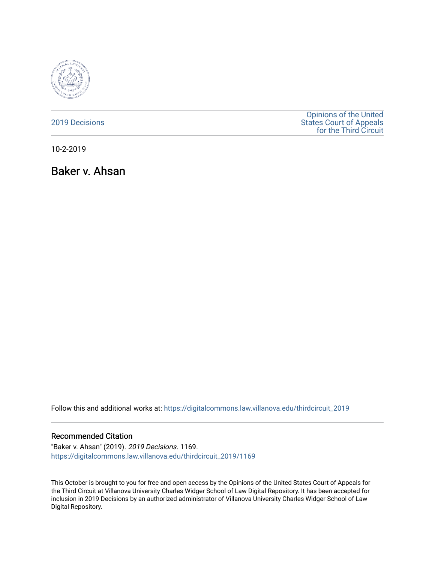

# [2019 Decisions](https://digitalcommons.law.villanova.edu/thirdcircuit_2019)

[Opinions of the United](https://digitalcommons.law.villanova.edu/thirdcircuit)  [States Court of Appeals](https://digitalcommons.law.villanova.edu/thirdcircuit)  [for the Third Circuit](https://digitalcommons.law.villanova.edu/thirdcircuit) 

10-2-2019

Baker v. Ahsan

Follow this and additional works at: [https://digitalcommons.law.villanova.edu/thirdcircuit\\_2019](https://digitalcommons.law.villanova.edu/thirdcircuit_2019?utm_source=digitalcommons.law.villanova.edu%2Fthirdcircuit_2019%2F1169&utm_medium=PDF&utm_campaign=PDFCoverPages) 

#### Recommended Citation

"Baker v. Ahsan" (2019). 2019 Decisions. 1169. [https://digitalcommons.law.villanova.edu/thirdcircuit\\_2019/1169](https://digitalcommons.law.villanova.edu/thirdcircuit_2019/1169?utm_source=digitalcommons.law.villanova.edu%2Fthirdcircuit_2019%2F1169&utm_medium=PDF&utm_campaign=PDFCoverPages) 

This October is brought to you for free and open access by the Opinions of the United States Court of Appeals for the Third Circuit at Villanova University Charles Widger School of Law Digital Repository. It has been accepted for inclusion in 2019 Decisions by an authorized administrator of Villanova University Charles Widger School of Law Digital Repository.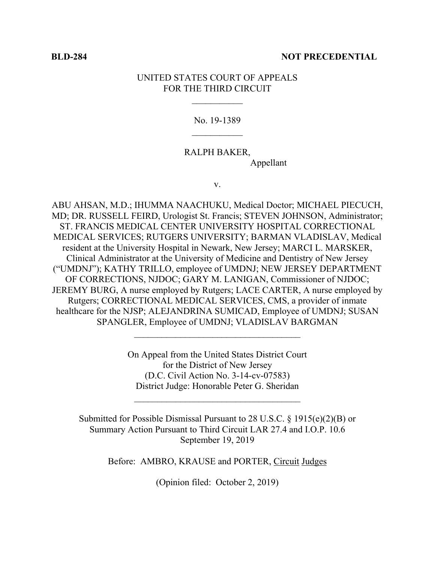#### **BLD-284 NOT PRECEDENTIAL**

# UNITED STATES COURT OF APPEALS FOR THE THIRD CIRCUIT

No. 19-1389

## RALPH BAKER, Appellant

v.

ABU AHSAN, M.D.; IHUMMA NAACHUKU, Medical Doctor; MICHAEL PIECUCH, MD; DR. RUSSELL FEIRD, Urologist St. Francis; STEVEN JOHNSON, Administrator; ST. FRANCIS MEDICAL CENTER UNIVERSITY HOSPITAL CORRECTIONAL MEDICAL SERVICES; RUTGERS UNIVERSITY; BARMAN VLADISLAV, Medical resident at the University Hospital in Newark, New Jersey; MARCI L. MARSKER, Clinical Administrator at the University of Medicine and Dentistry of New Jersey ("UMDNJ"); KATHY TRILLO, employee of UMDNJ; NEW JERSEY DEPARTMENT OF CORRECTIONS, NJDOC; GARY M. LANIGAN, Commissioner of NJDOC; JEREMY BURG, A nurse employed by Rutgers; LACE CARTER, A nurse employed by Rutgers; CORRECTIONAL MEDICAL SERVICES, CMS, a provider of inmate healthcare for the NJSP; ALEJANDRINA SUMICAD, Employee of UMDNJ; SUSAN SPANGLER, Employee of UMDNJ; VLADISLAV BARGMAN

> On Appeal from the United States District Court for the District of New Jersey (D.C. Civil Action No. 3-14-cv-07583) District Judge: Honorable Peter G. Sheridan

Submitted for Possible Dismissal Pursuant to 28 U.S.C. § 1915(e)(2)(B) or Summary Action Pursuant to Third Circuit LAR 27.4 and I.O.P. 10.6 September 19, 2019

Before: AMBRO, KRAUSE and PORTER, Circuit Judges

(Opinion filed: October 2, 2019)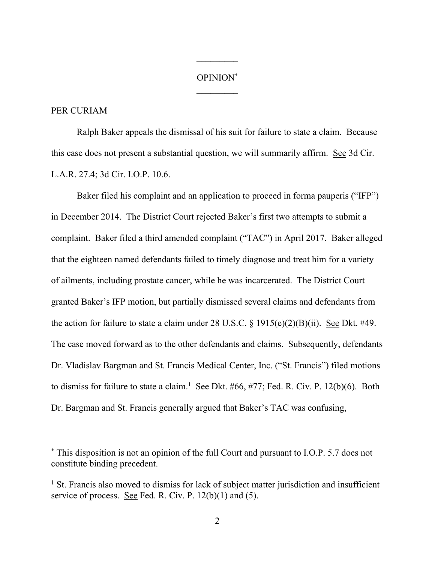### OPINION\*

 $\frac{1}{2}$ 

## PER CURIAM

Ralph Baker appeals the dismissal of his suit for failure to state a claim. Because this case does not present a substantial question, we will summarily affirm. See 3d Cir. L.A.R. 27.4; 3d Cir. I.O.P. 10.6.

Baker filed his complaint and an application to proceed in forma pauperis ("IFP") in December 2014. The District Court rejected Baker's first two attempts to submit a complaint. Baker filed a third amended complaint ("TAC") in April 2017. Baker alleged that the eighteen named defendants failed to timely diagnose and treat him for a variety of ailments, including prostate cancer, while he was incarcerated. The District Court granted Baker's IFP motion, but partially dismissed several claims and defendants from the action for failure to state a claim under 28 U.S.C.  $\S$  1915(e)(2)(B)(ii). See Dkt. #49. The case moved forward as to the other defendants and claims. Subsequently, defendants Dr. Vladislav Bargman and St. Francis Medical Center, Inc. ("St. Francis") filed motions to dismiss for failure to state a claim.<sup>1</sup> See Dkt.  $#66, #77$ ; Fed. R. Civ. P. 12(b)(6). Both Dr. Bargman and St. Francis generally argued that Baker's TAC was confusing,

<sup>\*</sup> This disposition is not an opinion of the full Court and pursuant to I.O.P. 5.7 does not constitute binding precedent.

<sup>&</sup>lt;sup>1</sup> St. Francis also moved to dismiss for lack of subject matter jurisdiction and insufficient service of process. See Fed. R. Civ. P. 12(b)(1) and (5).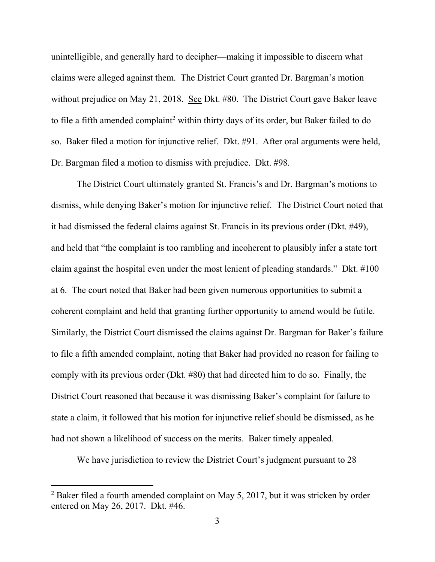unintelligible, and generally hard to decipher—making it impossible to discern what claims were alleged against them. The District Court granted Dr. Bargman's motion without prejudice on May 21, 2018. See Dkt. #80. The District Court gave Baker leave to file a fifth amended complaint<sup>2</sup> within thirty days of its order, but Baker failed to do so. Baker filed a motion for injunctive relief. Dkt. #91. After oral arguments were held, Dr. Bargman filed a motion to dismiss with prejudice. Dkt. #98.

The District Court ultimately granted St. Francis's and Dr. Bargman's motions to dismiss, while denying Baker's motion for injunctive relief. The District Court noted that it had dismissed the federal claims against St. Francis in its previous order (Dkt. #49), and held that "the complaint is too rambling and incoherent to plausibly infer a state tort claim against the hospital even under the most lenient of pleading standards." Dkt. #100 at 6. The court noted that Baker had been given numerous opportunities to submit a coherent complaint and held that granting further opportunity to amend would be futile. Similarly, the District Court dismissed the claims against Dr. Bargman for Baker's failure to file a fifth amended complaint, noting that Baker had provided no reason for failing to comply with its previous order (Dkt. #80) that had directed him to do so. Finally, the District Court reasoned that because it was dismissing Baker's complaint for failure to state a claim, it followed that his motion for injunctive relief should be dismissed, as he had not shown a likelihood of success on the merits. Baker timely appealed.

We have jurisdiction to review the District Court's judgment pursuant to 28

 $\overline{a}$ 

<sup>&</sup>lt;sup>2</sup> Baker filed a fourth amended complaint on May 5, 2017, but it was stricken by order entered on May 26, 2017. Dkt. #46.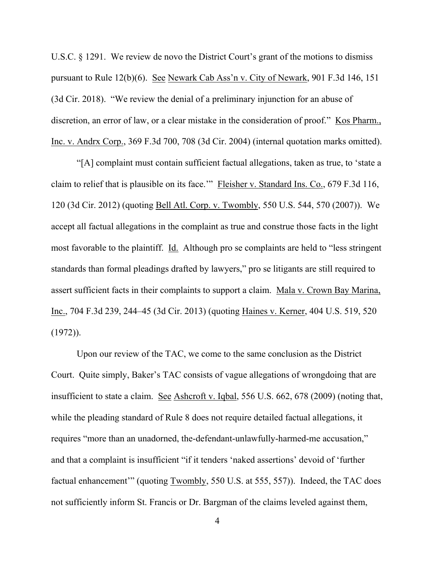U.S.C. § 1291. We review de novo the District Court's grant of the motions to dismiss pursuant to Rule 12(b)(6). See Newark Cab Ass'n v. City of Newark, 901 F.3d 146, 151 (3d Cir. 2018). "We review the denial of a preliminary injunction for an abuse of discretion, an error of law, or a clear mistake in the consideration of proof." Kos Pharm., Inc. v. Andrx Corp., 369 F.3d 700, 708 (3d Cir. 2004) (internal quotation marks omitted).

"[A] complaint must contain sufficient factual allegations, taken as true, to 'state a claim to relief that is plausible on its face.'" Fleisher v. Standard Ins. Co., 679 F.3d 116, 120 (3d Cir. 2012) (quoting Bell Atl. Corp. v. Twombly, 550 U.S. 544, 570 (2007)). We accept all factual allegations in the complaint as true and construe those facts in the light most favorable to the plaintiff. Id. Although pro se complaints are held to "less stringent standards than formal pleadings drafted by lawyers," pro se litigants are still required to assert sufficient facts in their complaints to support a claim. Mala v. Crown Bay Marina, Inc., 704 F.3d 239, 244–45 (3d Cir. 2013) (quoting Haines v. Kerner, 404 U.S. 519, 520 (1972)).

Upon our review of the TAC, we come to the same conclusion as the District Court. Quite simply, Baker's TAC consists of vague allegations of wrongdoing that are insufficient to state a claim. See Ashcroft v. Iqbal, 556 U.S. 662, 678 (2009) (noting that, while the pleading standard of Rule 8 does not require detailed factual allegations, it requires "more than an unadorned, the-defendant-unlawfully-harmed-me accusation," and that a complaint is insufficient "if it tenders 'naked assertions' devoid of 'further factual enhancement'" (quoting Twombly, 550 U.S. at 555, 557)). Indeed, the TAC does not sufficiently inform St. Francis or Dr. Bargman of the claims leveled against them,

4